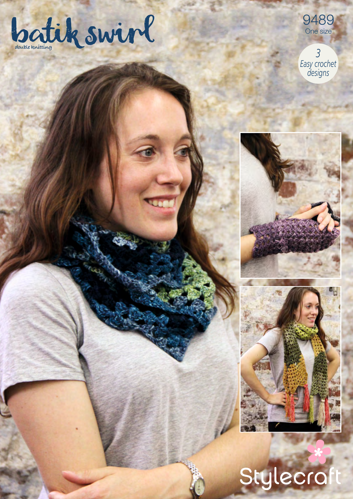



 $\overline{3}$ Easy crochet





# Stylecraft

Ţ